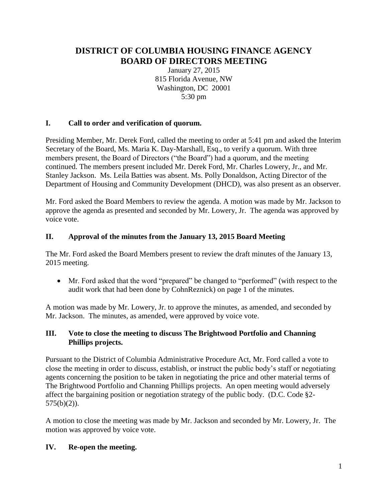# **DISTRICT OF COLUMBIA HOUSING FINANCE AGENCY BOARD OF DIRECTORS MEETING**

January 27, 2015 815 Florida Avenue, NW Washington, DC 20001 5:30 pm

## **I. Call to order and verification of quorum.**

Presiding Member, Mr. Derek Ford, called the meeting to order at 5:41 pm and asked the Interim Secretary of the Board, Ms. Maria K. Day-Marshall, Esq., to verify a quorum. With three members present, the Board of Directors ("the Board") had a quorum, and the meeting continued. The members present included Mr. Derek Ford, Mr. Charles Lowery, Jr., and Mr. Stanley Jackson. Ms. Leila Batties was absent. Ms. Polly Donaldson, Acting Director of the Department of Housing and Community Development (DHCD), was also present as an observer.

Mr. Ford asked the Board Members to review the agenda. A motion was made by Mr. Jackson to approve the agenda as presented and seconded by Mr. Lowery, Jr. The agenda was approved by voice vote.

## **II. Approval of the minutes from the January 13, 2015 Board Meeting**

The Mr. Ford asked the Board Members present to review the draft minutes of the January 13, 2015 meeting.

 Mr. Ford asked that the word "prepared" be changed to "performed" (with respect to the audit work that had been done by CohnReznick) on page 1 of the minutes.

A motion was made by Mr. Lowery, Jr. to approve the minutes, as amended, and seconded by Mr. Jackson. The minutes, as amended, were approved by voice vote.

## **III. Vote to close the meeting to discuss The Brightwood Portfolio and Channing Phillips projects.**

Pursuant to the District of Columbia Administrative Procedure Act, Mr. Ford called a vote to close the meeting in order to discuss, establish, or instruct the public body's staff or negotiating agents concerning the position to be taken in negotiating the price and other material terms of The Brightwood Portfolio and Channing Phillips projects. An open meeting would adversely affect the bargaining position or negotiation strategy of the public body. (D.C. Code §2-  $575(b)(2)$ ).

A motion to close the meeting was made by Mr. Jackson and seconded by Mr. Lowery, Jr. The motion was approved by voice vote.

## **IV. Re-open the meeting.**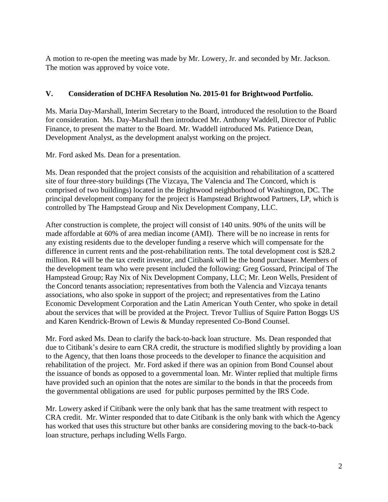A motion to re-open the meeting was made by Mr. Lowery, Jr. and seconded by Mr. Jackson. The motion was approved by voice vote.

## **V. Consideration of DCHFA Resolution No. 2015-01 for Brightwood Portfolio.**

Ms. Maria Day-Marshall, Interim Secretary to the Board, introduced the resolution to the Board for consideration. Ms. Day-Marshall then introduced Mr. Anthony Waddell, Director of Public Finance, to present the matter to the Board. Mr. Waddell introduced Ms. Patience Dean, Development Analyst, as the development analyst working on the project.

Mr. Ford asked Ms. Dean for a presentation.

Ms. Dean responded that the project consists of the acquisition and rehabilitation of a scattered site of four three-story buildings (The Vizcaya, The Valencia and The Concord, which is comprised of two buildings) located in the Brightwood neighborhood of Washington, DC. The principal development company for the project is Hampstead Brightwood Partners, LP, which is controlled by The Hampstead Group and Nix Development Company, LLC.

After construction is complete, the project will consist of 140 units. 90% of the units will be made affordable at 60% of area median income (AMI). There will be no increase in rents for any existing residents due to the developer funding a reserve which will compensate for the difference in current rents and the post-rehabilitation rents. The total development cost is \$28.2 million. R4 will be the tax credit investor, and Citibank will be the bond purchaser. Members of the development team who were present included the following: Greg Gossard, Principal of The Hampstead Group; Ray Nix of Nix Development Company, LLC; Mr. Leon Wells, President of the Concord tenants association; representatives from both the Valencia and Vizcaya tenants associations, who also spoke in support of the project; and representatives from the Latino Economic Development Corporation and the Latin American Youth Center, who spoke in detail about the services that will be provided at the Project. Trevor Tullius of Squire Patton Boggs US and Karen Kendrick-Brown of Lewis & Munday represented Co-Bond Counsel.

Mr. Ford asked Ms. Dean to clarify the back-to-back loan structure. Ms. Dean responded that due to Citibank's desire to earn CRA credit, the structure is modified slightly by providing a loan to the Agency, that then loans those proceeds to the developer to finance the acquisition and rehabilitation of the project. Mr. Ford asked if there was an opinion from Bond Counsel about the issuance of bonds as opposed to a governmental loan. Mr. Winter replied that multiple firms have provided such an opinion that the notes are similar to the bonds in that the proceeds from the governmental obligations are used for public purposes permitted by the IRS Code.

Mr. Lowery asked if Citibank were the only bank that has the same treatment with respect to CRA credit. Mr. Winter responded that to date Citibank is the only bank with which the Agency has worked that uses this structure but other banks are considering moving to the back-to-back loan structure, perhaps including Wells Fargo.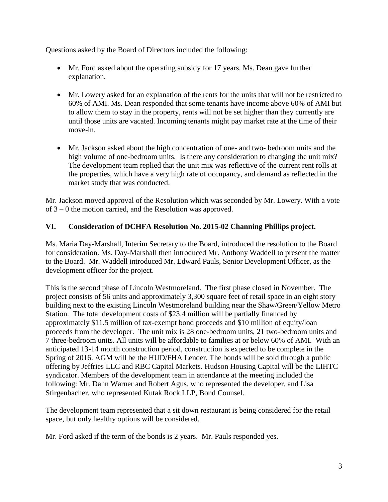Questions asked by the Board of Directors included the following:

- Mr. Ford asked about the operating subsidy for 17 years. Ms. Dean gave further explanation.
- Mr. Lowery asked for an explanation of the rents for the units that will not be restricted to 60% of AMI. Ms. Dean responded that some tenants have income above 60% of AMI but to allow them to stay in the property, rents will not be set higher than they currently are until those units are vacated. Incoming tenants might pay market rate at the time of their move-in.
- Mr. Jackson asked about the high concentration of one- and two- bedroom units and the high volume of one-bedroom units. Is there any consideration to changing the unit mix? The development team replied that the unit mix was reflective of the current rent rolls at the properties, which have a very high rate of occupancy, and demand as reflected in the market study that was conducted.

Mr. Jackson moved approval of the Resolution which was seconded by Mr. Lowery. With a vote of 3 – 0 the motion carried, and the Resolution was approved.

## **VI. Consideration of DCHFA Resolution No. 2015-02 Channing Phillips project.**

Ms. Maria Day-Marshall, Interim Secretary to the Board, introduced the resolution to the Board for consideration. Ms. Day-Marshall then introduced Mr. Anthony Waddell to present the matter to the Board. Mr. Waddell introduced Mr. Edward Pauls, Senior Development Officer, as the development officer for the project.

This is the second phase of Lincoln Westmoreland. The first phase closed in November. The project consists of 56 units and approximately 3,300 square feet of retail space in an eight story building next to the existing Lincoln Westmoreland building near the Shaw/Green/Yellow Metro Station. The total development costs of \$23.4 million will be partially financed by approximately \$11.5 million of tax-exempt bond proceeds and \$10 million of equity/loan proceeds from the developer. The unit mix is 28 one-bedroom units, 21 two-bedroom units and 7 three-bedroom units. All units will be affordable to families at or below 60% of AMI. With an anticipated 13-14 month construction period, construction is expected to be complete in the Spring of 2016. AGM will be the HUD/FHA Lender. The bonds will be sold through a public offering by Jeffries LLC and RBC Capital Markets. Hudson Housing Capital will be the LIHTC syndicator. Members of the development team in attendance at the meeting included the following: Mr. Dahn Warner and Robert Agus, who represented the developer, and Lisa Stirgenbacher, who represented Kutak Rock LLP, Bond Counsel.

The development team represented that a sit down restaurant is being considered for the retail space, but only healthy options will be considered.

Mr. Ford asked if the term of the bonds is 2 years. Mr. Pauls responded yes.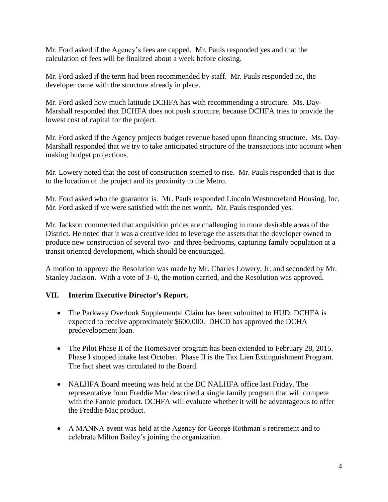Mr. Ford asked if the Agency's fees are capped. Mr. Pauls responded yes and that the calculation of fees will be finalized about a week before closing.

Mr. Ford asked if the term had been recommended by staff. Mr. Pauls responded no, the developer came with the structure already in place.

Mr. Ford asked how much latitude DCHFA has with recommending a structure. Ms. Day-Marshall responded that DCHFA does not push structure, because DCHFA tries to provide the lowest cost of capital for the project.

Mr. Ford asked if the Agency projects budget revenue based upon financing structure. Ms. Day-Marshall responded that we try to take anticipated structure of the transactions into account when making budget projections.

Mr. Lowery noted that the cost of construction seemed to rise. Mr. Pauls responded that is due to the location of the project and its proximity to the Metro.

Mr. Ford asked who the guarantor is. Mr. Pauls responded Lincoln Westmoreland Housing, Inc. Mr. Ford asked if we were satisfied with the net worth. Mr. Pauls responded yes.

Mr. Jackson commented that acquisition prices are challenging in more desirable areas of the District. He noted that it was a creative idea to leverage the assets that the developer owned to produce new construction of several two- and three-bedrooms, capturing family population at a transit oriented development, which should be encouraged.

A motion to approve the Resolution was made by Mr. Charles Lowery, Jr. and seconded by Mr. Stanley Jackson. With a vote of 3- 0, the motion carried, and the Resolution was approved.

## **VII. Interim Executive Director's Report.**

- The Parkway Overlook Supplemental Claim has been submitted to HUD. DCHFA is expected to receive approximately \$600,000. DHCD has approved the DCHA predevelopment loan.
- The Pilot Phase II of the HomeSaver program has been extended to February 28, 2015. Phase I stopped intake last October. Phase II is the Tax Lien Extinguishment Program. The fact sheet was circulated to the Board.
- NALHFA Board meeting was held at the DC NALHFA office last Friday. The representative from Freddie Mac described a single family program that will compete with the Fannie product. DCHFA will evaluate whether it will be advantageous to offer the Freddie Mac product.
- A MANNA event was held at the Agency for George Rothman's retirement and to celebrate Milton Bailey's joining the organization.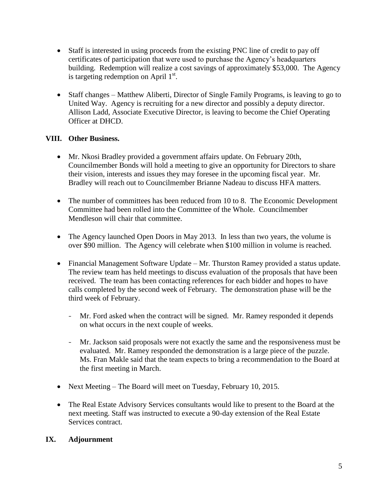- Staff is interested in using proceeds from the existing PNC line of credit to pay off certificates of participation that were used to purchase the Agency's headquarters building. Redemption will realize a cost savings of approximately \$53,000. The Agency is targeting redemption on April  $1<sup>st</sup>$ .
- Staff changes Matthew Aliberti, Director of Single Family Programs, is leaving to go to United Way. Agency is recruiting for a new director and possibly a deputy director. Allison Ladd, Associate Executive Director, is leaving to become the Chief Operating Officer at DHCD.

## **VIII. Other Business.**

- Mr. Nkosi Bradley provided a government affairs update. On February 20th, Councilmember Bonds will hold a meeting to give an opportunity for Directors to share their vision, interests and issues they may foresee in the upcoming fiscal year. Mr. Bradley will reach out to Councilmember Brianne Nadeau to discuss HFA matters.
- The number of committees has been reduced from 10 to 8. The Economic Development Committee had been rolled into the Committee of the Whole. Councilmember Mendleson will chair that committee.
- The Agency launched Open Doors in May 2013. In less than two years, the volume is over \$90 million. The Agency will celebrate when \$100 million in volume is reached.
- Financial Management Software Update Mr. Thurston Ramey provided a status update. The review team has held meetings to discuss evaluation of the proposals that have been received. The team has been contacting references for each bidder and hopes to have calls completed by the second week of February. The demonstration phase will be the third week of February.
	- Mr. Ford asked when the contract will be signed. Mr. Ramey responded it depends on what occurs in the next couple of weeks.
	- Mr. Jackson said proposals were not exactly the same and the responsiveness must be evaluated. Mr. Ramey responded the demonstration is a large piece of the puzzle. Ms. Fran Makle said that the team expects to bring a recommendation to the Board at the first meeting in March.
- Next Meeting The Board will meet on Tuesday, February 10, 2015.
- The Real Estate Advisory Services consultants would like to present to the Board at the next meeting. Staff was instructed to execute a 90-day extension of the Real Estate Services contract.

## **IX. Adjournment**